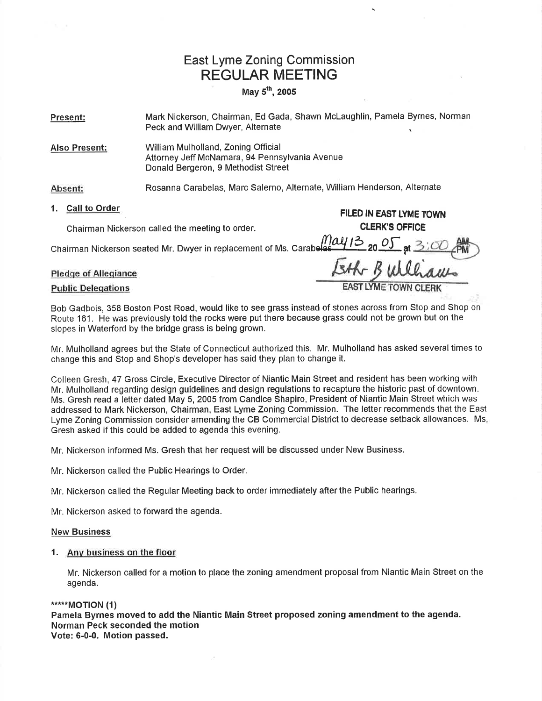## East Lyme Zoning Commission REGULAR MEETING

### May  $5^{th}$ , 2005

Present: Mark Nickerson, Chairman, Ed Gada, Shawn McLaughlin, Pamela Byrnes, Norman Peck and William Dwyer, Alternate

Also Present: William Mulholland, Zoning Official Attorney Jeff McNamara, 94 Pennsylvania Avenue Donald Bergeron, 9 Methodist Street

Absent: Rosanna Carabelas, Marc Salerno, Alternate, William Henderson, Alternate

# 1. Call to Order fluid the state of the state of the fluid the fluid of FILED IN EAST LYME TOWN

Chairman Nickerson called the meeting to order. CLERK'S OFFICE

chairman Nickerson seated Mr. Dwyer in replacement of Ms. Carabelas

# Pledge of Allegiance the state of Allegiance **Public Delegations**

Bob Gadbois, 358 Boston Post Road, would like to see grass instead of stones across from Stop and Shop on Route 161 . He was previously told the rocks were put there because grass could not be grown but on the slopes in Waterford by the bridge grass is being grown.

Et

Mr. Mulholland agrees but the State of Connecticut authorized this. Mr. Mulholland has asked several times to change this and Stop and Shop's developer has said they plan to change it.

Colleen Gresh, 47 Gross Circle, Executive Director of Niantic Main Street and resident has been working with Mr. Mulholland regarding design guidelines and design regulations to recapture the historic past of downtown. Ms. Gresh read a letter dated May 5, 2005 from Candice Shapiro, President of Niantic Main Street which was addressed to Mark Nickerson, Chairman, East Lyme Zoning Commission. The letter recommends that the East Lyme Zoning Commission consider amending the CB Commercial District to decrease setback allowances. Ms Gresh asked if this could be added to agenda this evening.

Mr. Nickerson informed Ms. Gresh that her request will be discussed under New Business.

Mr. Nickerson called the Public Hearings to Order.

Mr. Nickerson called the Regular Meeting back to order immediately after the Public hearings.

Mr. Nickerson asked to forward the agenda.

#### New Business

### 1. Anv business on the floor

Mr. Nickerson called for a motion to place the zoning amendment proposal from Niantic Main Street on the agenda.

#### \*\*\*\*\*MOTION (1)

Pamela Byrnes moved to add the Niantic Main Street proposed zoning amendment to the agenda. Norman Peck seconded the motion Vote: 6-0-0. Motion passed.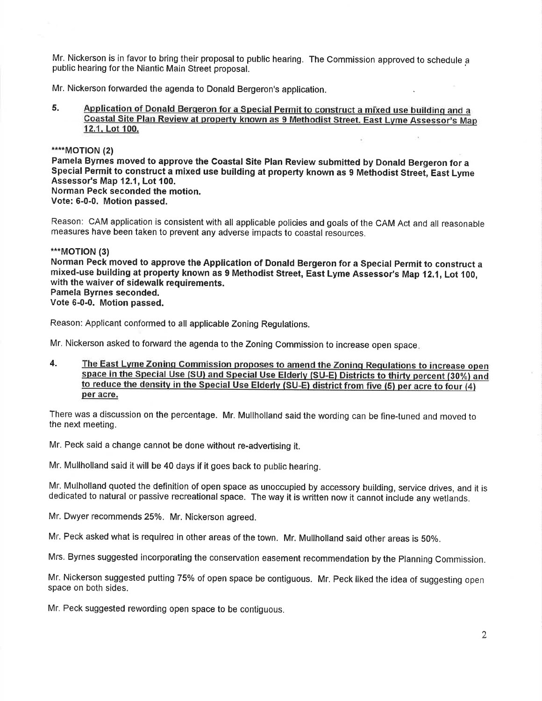Mr. Nickerson is in favor to bring their proposal to public hearing. The Commission approved to schedule <sup>a</sup> public hearing forthe Niantic Main Street proposal.

Mr. Nickerson fonrvarded the agenda to Donald Bergeron's application.

### 5. Application of Donald Bergeron for a Special Permit to construct a mixed use building and a Coastal Site Plan Review at property known as 9 Methodist Street. East Lyme Assessor's Map 12.1. Lot 100.

\*\*\*\*MOTION (2)

Pamela Byrnes moved to approve the Coastal Site Plan Review submitted by Donald Bergeron for <sup>a</sup> Special Permit to construct a mixed use building at property known as 9 Methodist Street, East Lyme Assessor's Map 12.1, Lot 100. Norman Peck seconded the motion. Vote: 6-0-0. Motion passed.

Reason: CAM application is consistent with all applicable policies and goals of the CAM Act and all reasonable measures have been taken to prevent any adverse impacts to coastal resources.

### \*\*\*MOTION (3)

Norman Peck moved to approve the Appllcation of Donald Bergeron for a Special Permit to construct <sup>a</sup> mixed-use building at property known as 9 Methodist Street, East Lyme Assessor's Map 12.1, Lot 100, with the waiver of sidewalk requirements. Pamela Byrnes seconded.

Vote 6-0-0. Motion passed.

Reason: Applicant conformed to all applicable Zoning Regulations.

Mr. Nickerson asked to forward the agenda to the Zoning Commission to increase open space.

4. The East Lyme Zoning Commission proposes to amend the Zoning Requlations to increase open space in the Special Use (SU) and Special Use Elderly (SU-E) Districts to thirty percent (30%) and to reduce the densitv in the Special Use Elderlv (SU-E) district from five (5) per acre to four (4) per acre.

There was a discussion on the percentage. Mr. Mullholland said the wording can be fine-tuned and moved to the next meeting.

Mr. Peck said a change cannot be done without re-advertising it.

Mr. Mullholland said it will be 40 days if it goes back to public hearing.

Mr. Mulholland quoted the definition of open space as unoccupied by accessory building, service drives, and it is dedicated to natural or passive recreational space. The way it is written now it cannot include any welands.

Mr. Dwyer recommends25%. Mr, Nickerson agreed.

Mr. Peck asked what is requireo in other areas of the town. Mr. Mullholland said other areas is 50%.

Mrs. Byrnes suggested incorporating the conservation easement recommendation bythe planning Commission.

Mr. Nickerson suggested putting 75% of open space be contiguous. Mr. Peck liked the idea of suggesting open space on both sides.

Mr. Peck suggested rewording open space to be contiguous.